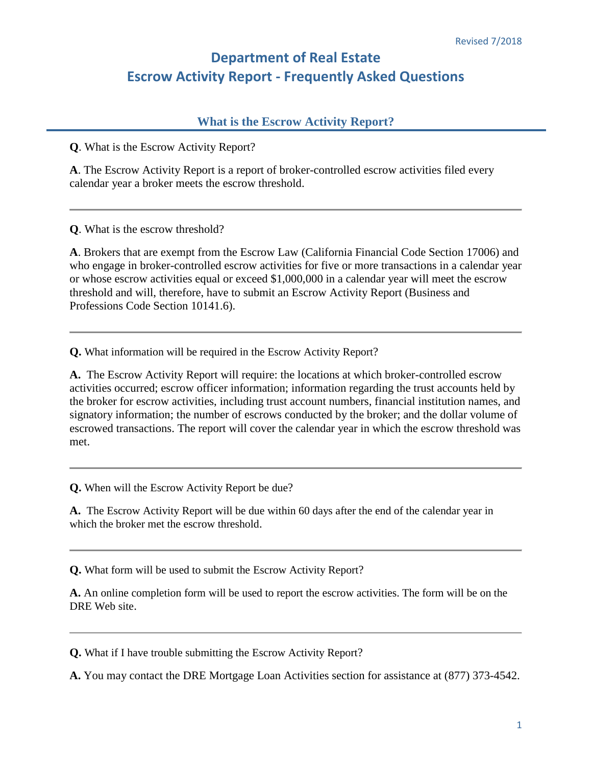## **Department of Real Estate Escrow Activity Report - Frequently Asked Questions**

## **What is the Escrow Activity Report?**

**Q**. What is the Escrow Activity Report?

**A**. The Escrow Activity Report is a report of broker-controlled escrow activities filed every calendar year a broker meets the escrow threshold.

**Q**. What is the escrow threshold?

**A**. Brokers that are exempt from the Escrow Law (California Financial Code Section 17006) and who engage in broker-controlled escrow activities for five or more transactions in a calendar year or whose escrow activities equal or exceed \$1,000,000 in a calendar year will meet the escrow threshold and will, therefore, have to submit an Escrow Activity Report (Business and Professions Code Section 10141.6).

**Q.** What information will be required in the Escrow Activity Report?

**A.** The Escrow Activity Report will require: the locations at which broker-controlled escrow activities occurred; escrow officer information; information regarding the trust accounts held by the broker for escrow activities, including trust account numbers, financial institution names, and signatory information; the number of escrows conducted by the broker; and the dollar volume of escrowed transactions. The report will cover the calendar year in which the escrow threshold was met.

**Q.** When will the Escrow Activity Report be due?

**A.** The Escrow Activity Report will be due within 60 days after the end of the calendar year in which the broker met the escrow threshold.

**Q.** What form will be used to submit the Escrow Activity Report?

 **A.** An online completion form will be used to report the escrow activities. The form will be on the DRE Web site.

**Q.** What if I have trouble submitting the Escrow Activity Report?

**A.** You may contact the DRE Mortgage Loan Activities section for assistance at (877) 373-4542.